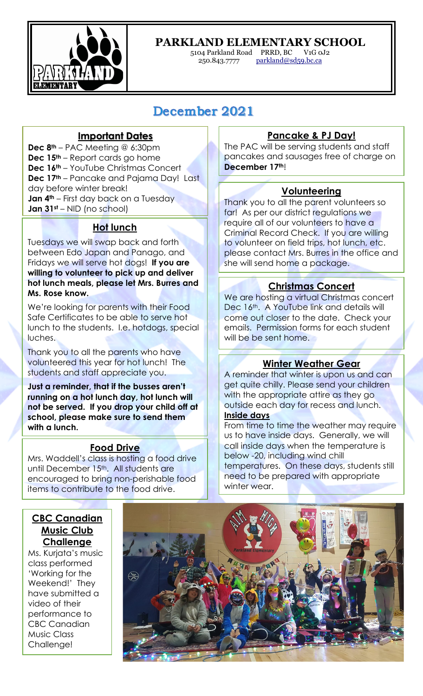

# **PARKLAND ELEMENTARY SCHOOL**

5104 Parkland Road PRRD, BC V1G 0J2 parkland@sd59.bc.ca

# December 2021

# **Important Dates**

**Dec 8th** – PAC Meeting @ 6:30pm **Dec 15th** – Report cards go home **Dec 16th** – YouTube Christmas Concert **Dec 17th** – Pancake and Pajama Day! Last day before winter break! **Jan 4<sup>th</sup>** – First day back on a Tuesday **Jan 31st** – NID (no school)

# **Hot lunch**

Tuesdays we will swap back and forth between Edo Japan and Panago, and Fridays we will serve hot dogs! **If you are willing to volunteer to pick up and deliver hot lunch meals, please let Mrs. Burres and Ms. Rose know.** 

We're looking for parents with their Food Safe Certificates to be able to serve hot lunch to the students. I.e. hotdogs, special luches.

Thank you to all the parents who have volunteered this year for hot lunch! The students and staff appreciate you.

**Just a reminder, that if the busses aren't running on a hot lunch day, hot lunch will not be served. If you drop your child off at school, please make sure to send them with a lunch.** 

#### **Food Drive**

Mrs. Waddell's class is hosting a food drive until December 15th. All students are encouraged to bring non-perishable food items to contribute to the food drive.

# **Pancake & PJ Day!**

The PAC will be serving students and staff pancakes and sausages free of charge on **December 17th**!

#### **Volunteering**

Thank you to all the parent volunteers so far! As per our district regulations we require all of our volunteers to have a Criminal Record Check. If you are willing to volunteer on field trips, hot lunch, etc. please contact Mrs. Burres in the office and she will send home a package.

## **Christmas Concert**

We are hosting a virtual Christmas concert Dec 16th. A YouTube link and details will come out closer to the date. Check your emails. Permission forms for each student will be be sent home.

#### **Winter Weather Gear**

A reminder that winter is upon us and can get quite chilly. Please send your children with the appropriate attire as they go outside each day for recess and lunch. **Inside days**

From time to time the weather may require us to have inside days. Generally, we will call inside days when the temperature is below -20, including wind chill temperatures. On these days, students still need to be prepared with appropriate winter wear.

# **CBC Canadian Music Club Challenge**

Ms. Kurjata's music class performed 'Working for the Weekend!' They have submitted a video of their performance to CBC Canadian Music Class Challenge!